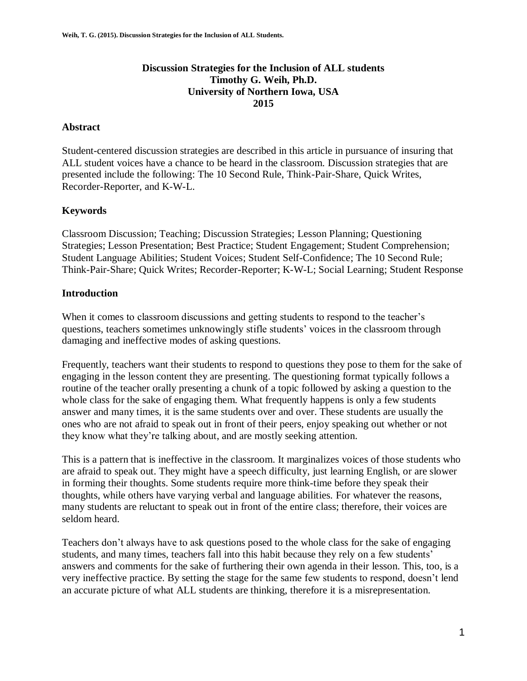## **Discussion Strategies for the Inclusion of ALL students Timothy G. Weih, Ph.D. University of Northern Iowa, USA 2015**

## **Abstract**

Student-centered discussion strategies are described in this article in pursuance of insuring that ALL student voices have a chance to be heard in the classroom. Discussion strategies that are presented include the following: The 10 Second Rule, Think-Pair-Share, Quick Writes, Recorder-Reporter, and K-W-L.

# **Keywords**

Classroom Discussion; Teaching; Discussion Strategies; Lesson Planning; Questioning Strategies; Lesson Presentation; Best Practice; Student Engagement; Student Comprehension; Student Language Abilities; Student Voices; Student Self-Confidence; The 10 Second Rule; Think-Pair-Share; Quick Writes; Recorder-Reporter; K-W-L; Social Learning; Student Response

# **Introduction**

When it comes to classroom discussions and getting students to respond to the teacher's questions, teachers sometimes unknowingly stifle students' voices in the classroom through damaging and ineffective modes of asking questions.

Frequently, teachers want their students to respond to questions they pose to them for the sake of engaging in the lesson content they are presenting. The questioning format typically follows a routine of the teacher orally presenting a chunk of a topic followed by asking a question to the whole class for the sake of engaging them. What frequently happens is only a few students answer and many times, it is the same students over and over. These students are usually the ones who are not afraid to speak out in front of their peers, enjoy speaking out whether or not they know what they're talking about, and are mostly seeking attention.

This is a pattern that is ineffective in the classroom. It marginalizes voices of those students who are afraid to speak out. They might have a speech difficulty, just learning English, or are slower in forming their thoughts. Some students require more think-time before they speak their thoughts, while others have varying verbal and language abilities. For whatever the reasons, many students are reluctant to speak out in front of the entire class; therefore, their voices are seldom heard.

Teachers don't always have to ask questions posed to the whole class for the sake of engaging students, and many times, teachers fall into this habit because they rely on a few students' answers and comments for the sake of furthering their own agenda in their lesson. This, too, is a very ineffective practice. By setting the stage for the same few students to respond, doesn't lend an accurate picture of what ALL students are thinking, therefore it is a misrepresentation.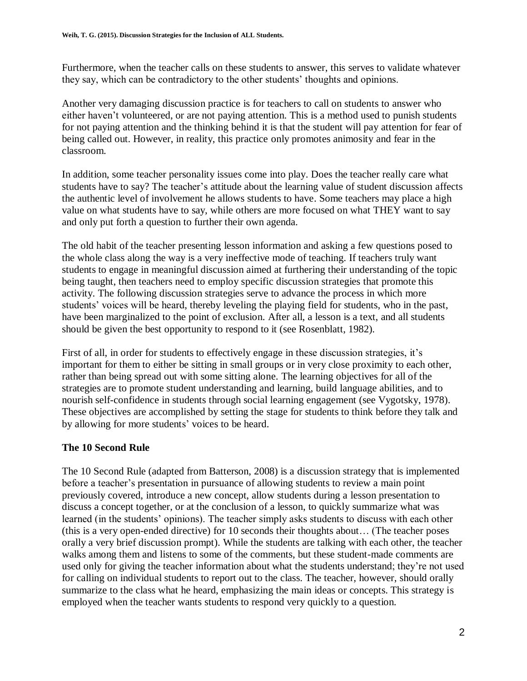Furthermore, when the teacher calls on these students to answer, this serves to validate whatever they say, which can be contradictory to the other students' thoughts and opinions.

Another very damaging discussion practice is for teachers to call on students to answer who either haven't volunteered, or are not paying attention. This is a method used to punish students for not paying attention and the thinking behind it is that the student will pay attention for fear of being called out. However, in reality, this practice only promotes animosity and fear in the classroom.

In addition, some teacher personality issues come into play. Does the teacher really care what students have to say? The teacher's attitude about the learning value of student discussion affects the authentic level of involvement he allows students to have. Some teachers may place a high value on what students have to say, while others are more focused on what THEY want to say and only put forth a question to further their own agenda.

The old habit of the teacher presenting lesson information and asking a few questions posed to the whole class along the way is a very ineffective mode of teaching. If teachers truly want students to engage in meaningful discussion aimed at furthering their understanding of the topic being taught, then teachers need to employ specific discussion strategies that promote this activity. The following discussion strategies serve to advance the process in which more students' voices will be heard, thereby leveling the playing field for students, who in the past, have been marginalized to the point of exclusion. After all, a lesson is a text, and all students should be given the best opportunity to respond to it (see Rosenblatt, 1982).

First of all, in order for students to effectively engage in these discussion strategies, it's important for them to either be sitting in small groups or in very close proximity to each other, rather than being spread out with some sitting alone. The learning objectives for all of the strategies are to promote student understanding and learning, build language abilities, and to nourish self-confidence in students through social learning engagement (see Vygotsky, 1978). These objectives are accomplished by setting the stage for students to think before they talk and by allowing for more students' voices to be heard.

# **The 10 Second Rule**

The 10 Second Rule (adapted from Batterson, 2008) is a discussion strategy that is implemented before a teacher's presentation in pursuance of allowing students to review a main point previously covered, introduce a new concept, allow students during a lesson presentation to discuss a concept together, or at the conclusion of a lesson, to quickly summarize what was learned (in the students' opinions). The teacher simply asks students to discuss with each other (this is a very open-ended directive) for 10 seconds their thoughts about… (The teacher poses orally a very brief discussion prompt). While the students are talking with each other, the teacher walks among them and listens to some of the comments, but these student-made comments are used only for giving the teacher information about what the students understand; they're not used for calling on individual students to report out to the class. The teacher, however, should orally summarize to the class what he heard, emphasizing the main ideas or concepts. This strategy is employed when the teacher wants students to respond very quickly to a question.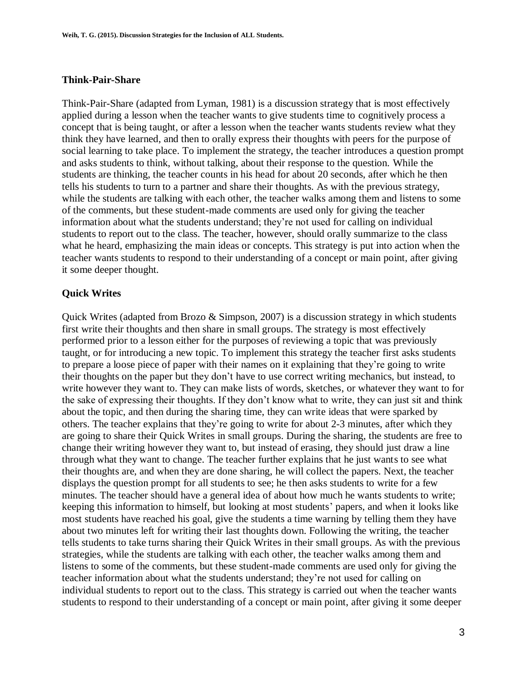#### **Think-Pair-Share**

Think-Pair-Share (adapted from Lyman, 1981) is a discussion strategy that is most effectively applied during a lesson when the teacher wants to give students time to cognitively process a concept that is being taught, or after a lesson when the teacher wants students review what they think they have learned, and then to orally express their thoughts with peers for the purpose of social learning to take place. To implement the strategy, the teacher introduces a question prompt and asks students to think, without talking, about their response to the question. While the students are thinking, the teacher counts in his head for about 20 seconds, after which he then tells his students to turn to a partner and share their thoughts. As with the previous strategy, while the students are talking with each other, the teacher walks among them and listens to some of the comments, but these student-made comments are used only for giving the teacher information about what the students understand; they're not used for calling on individual students to report out to the class. The teacher, however, should orally summarize to the class what he heard, emphasizing the main ideas or concepts. This strategy is put into action when the teacher wants students to respond to their understanding of a concept or main point, after giving it some deeper thought.

#### **Quick Writes**

Quick Writes (adapted from Brozo & Simpson, 2007) is a discussion strategy in which students first write their thoughts and then share in small groups. The strategy is most effectively performed prior to a lesson either for the purposes of reviewing a topic that was previously taught, or for introducing a new topic. To implement this strategy the teacher first asks students to prepare a loose piece of paper with their names on it explaining that they're going to write their thoughts on the paper but they don't have to use correct writing mechanics, but instead, to write however they want to. They can make lists of words, sketches, or whatever they want to for the sake of expressing their thoughts. If they don't know what to write, they can just sit and think about the topic, and then during the sharing time, they can write ideas that were sparked by others. The teacher explains that they're going to write for about 2-3 minutes, after which they are going to share their Quick Writes in small groups. During the sharing, the students are free to change their writing however they want to, but instead of erasing, they should just draw a line through what they want to change. The teacher further explains that he just wants to see what their thoughts are, and when they are done sharing, he will collect the papers. Next, the teacher displays the question prompt for all students to see; he then asks students to write for a few minutes. The teacher should have a general idea of about how much he wants students to write; keeping this information to himself, but looking at most students' papers, and when it looks like most students have reached his goal, give the students a time warning by telling them they have about two minutes left for writing their last thoughts down. Following the writing, the teacher tells students to take turns sharing their Quick Writes in their small groups. As with the previous strategies, while the students are talking with each other, the teacher walks among them and listens to some of the comments, but these student-made comments are used only for giving the teacher information about what the students understand; they're not used for calling on individual students to report out to the class. This strategy is carried out when the teacher wants students to respond to their understanding of a concept or main point, after giving it some deeper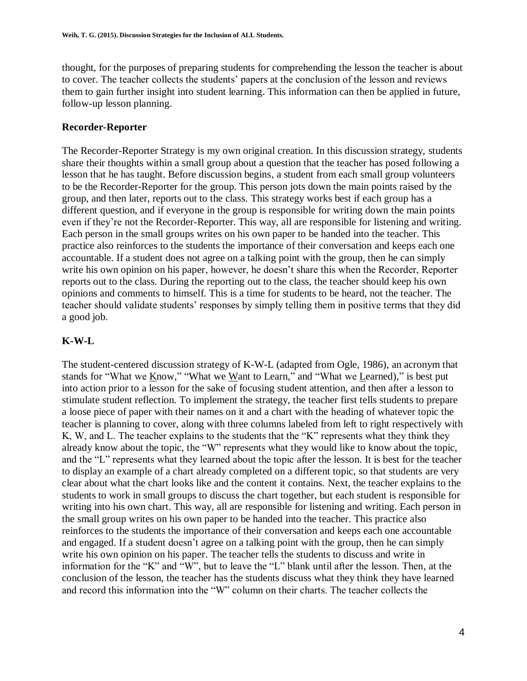thought, for the purposes of preparing students for comprehending the lesson the teacher is about to cover. The teacher collects the students' papers at the conclusion of the lesson and reviews them to gain further insight into student learning. This information can then be applied in future, follow-up lesson planning.

# **Recorder-Reporter**

The Recorder-Reporter Strategy is my own original creation. In this discussion strategy, students share their thoughts within a small group about a question that the teacher has posed following a lesson that he has taught. Before discussion begins, a student from each small group volunteers to be the Recorder-Reporter for the group. This person jots down the main points raised by the group, and then later, reports out to the class. This strategy works best if each group has a different question, and if everyone in the group is responsible for writing down the main points even if they're not the Recorder-Reporter. This way, all are responsible for listening and writing. Each person in the small groups writes on his own paper to be handed into the teacher. This practice also reinforces to the students the importance of their conversation and keeps each one accountable. If a student does not agree on a talking point with the group, then he can simply write his own opinion on his paper, however, he doesn't share this when the Recorder, Reporter reports out to the class. During the reporting out to the class, the teacher should keep his own opinions and comments to himself. This is a time for students to be heard, not the teacher. The teacher should validate students' responses by simply telling them in positive terms that they did a good job.

# **K-W-L**

The student-centered discussion strategy of K-W-L (adapted from Ogle, 1986), an acronym that stands for "What we Know," "What we Want to Learn," and "What we Learned)," is best put into action prior to a lesson for the sake of focusing student attention, and then after a lesson to stimulate student reflection. To implement the strategy, the teacher first tells students to prepare a loose piece of paper with their names on it and a chart with the heading of whatever topic the teacher is planning to cover, along with three columns labeled from left to right respectively with K, W, and L. The teacher explains to the students that the "K" represents what they think they already know about the topic, the "W" represents what they would like to know about the topic, and the "L" represents what they learned about the topic after the lesson. It is best for the teacher to display an example of a chart already completed on a different topic, so that students are very clear about what the chart looks like and the content it contains. Next, the teacher explains to the students to work in small groups to discuss the chart together, but each student is responsible for writing into his own chart. This way, all are responsible for listening and writing. Each person in the small group writes on his own paper to be handed into the teacher. This practice also reinforces to the students the importance of their conversation and keeps each one accountable and engaged. If a student doesn't agree on a talking point with the group, then he can simply write his own opinion on his paper. The teacher tells the students to discuss and write in information for the "K" and "W", but to leave the "L" blank until after the lesson. Then, at the conclusion of the lesson, the teacher has the students discuss what they think they have learned and record this information into the "W" column on their charts. The teacher collects the